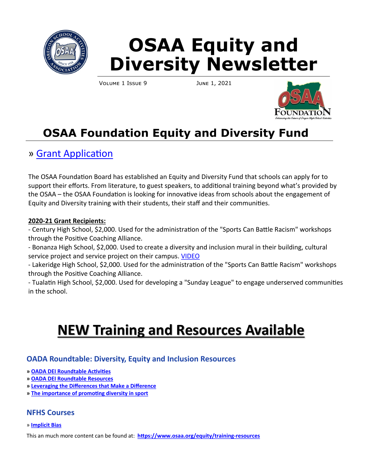

# **OSAA Equity and Diversity Newsletter**

Volume 1 Issue 9 June 1, 2021



# **OSAA Foundation Equity and Diversity Fund**

# » [Grant Application](http://www.osaafoundation.org/goals/20-21EquityandDiversityFund.pdf)

The OSAA Foundation Board has established an Equity and Diversity Fund that schools can apply for to support their efforts. From literature, to guest speakers, to additional training beyond what's provided by the OSAA – the OSAA Foundation is looking for innovative ideas from schools about the engagement of Equity and Diversity training with their students, their staff and their communities.

### **2020-21 Grant Recipients:**

- Century High School, \$2,000. Used for the administration of the "Sports Can Battle Racism" workshops through the Positive Coaching Alliance.

- Bonanza High School, \$2,000. Used to create a diversity and inclusion mural in their building, cultural service project and service project on their campus. [VIDEO](https://youtu.be/SqAjPw3WBzs)

- Lakeridge High School, \$2,000. Used for the administration of the "Sports Can Battle Racism" workshops through the Positive Coaching Alliance.

- Tualatin High School, \$2,000. Used for developing a "Sunday League" to engage underserved communities in the school.

# **NEW Training and Resources Available**

### **OADA Roundtable: Diversity, Equity and Inclusion Resources**

- **» [OADA DEI Roundtable Activities](https://www.osaa.org/docs/equity/OADA_DEI%20Roundtable%20Activity.pdf)**
- **» [OADA DEI Roundtable Resources](https://www.osaa.org/docs/equity/OADA_DEI%20Roundtable%20Resources.pdf)**
- **» [Leveraging the Differences that Make a Difference](http://rapidsyouthsoccer.org/diversity-inclusion-part-1/)**
- **» [The importance of promoting diversity in sport](https://thesportsdaily.com/the-importance-of-promoting-diversity-in-sport/)**

### **NFHS Courses**

#### » **[Implicit Bias](https://nfhslearn.com/courses/implicit-bias)**

This an much more content can be found at: **[https://www.osaa.org/equity/training](https://www.osaa.org/equity/training-resources)-resources**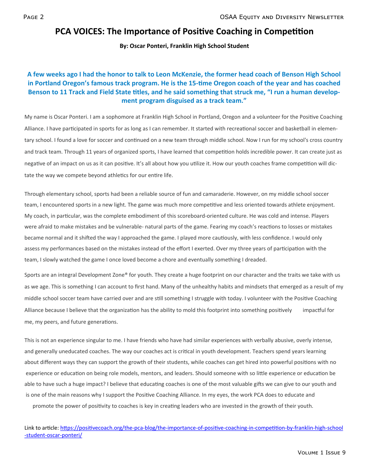## **PCA VOICES: The Importance of Positive Coaching in Competition**

#### **By: Oscar Ponteri, Franklin High School Student**

#### **A few weeks ago I had the honor to talk to Leon McKenzie, the former head coach of Benson High School in Portland Oregon's famous track program. He is the 15-time Oregon coach of the year and has coached Benson to 11 Track and Field State titles, and he said something that struck me, "I run a human development program disguised as a track team."**

My name is Oscar Ponteri. I am a sophomore at Franklin High School in Portland, Oregon and a volunteer for the Positive Coaching Alliance. I have participated in sports for as long as I can remember. It started with recreational soccer and basketball in elementary school. I found a love for soccer and continued on a new team through middle school. Now I run for my school's cross country and track team. Through 11 years of organized sports, I have learned that competition holds incredible power. It can create just as negative of an impact on us as it can positive. It's all about how you utilize it. How our youth coaches frame competition will dictate the way we compete beyond athletics for our entire life.

Through elementary school, sports had been a reliable source of fun and camaraderie. However, on my middle school soccer team, I encountered sports in a new light. The game was much more competitive and less oriented towards athlete enjoyment. My coach, in particular, was the complete embodiment of this scoreboard-oriented culture. He was cold and intense. Players were afraid to make mistakes and be vulnerable- natural parts of the game. Fearing my coach's reactions to losses or mistakes became normal and it shifted the way I approached the game. I played more cautiously, with less confidence. I would only assess my performances based on the mistakes instead of the effort I exerted. Over my three years of participation with the team, I slowly watched the game I once loved become a chore and eventually something I dreaded.

Sports are an integral Development Zone® for youth. They create a huge footprint on our character and the traits we take with us as we age. This is something I can account to first hand. Many of the unhealthy habits and mindsets that emerged as a result of my middle school soccer team have carried over and are still something I struggle with today. I volunteer with the Positive Coaching Alliance because I believe that the organization has the ability to mold this footprint into something positively impactful for me, my peers, and future generations.

This is not an experience singular to me. I have friends who have had similar experiences with verbally abusive, overly intense, and generally uneducated coaches. The way our coaches act is critical in youth development. Teachers spend years learning about different ways they can support the growth of their students, while coaches can get hired into powerful positions with no experience or education on being role models, mentors, and leaders. Should someone with so little experience or education be able to have such a huge impact? I believe that educating coaches is one of the most valuable gifts we can give to our youth and is one of the main reasons why I support the Positive Coaching Alliance. In my eyes, the work PCA does to educate and promote the power of positivity to coaches is key in creating leaders who are invested in the growth of their youth.

Link to article: [https://positivecoach.org/the](https://positivecoach.org/the-pca-blog/the-importance-of-positive-coaching-in-competition-by-franklin-high-school-student-oscar-ponteri/)-pca-blog/the-importance-of-positive-coaching-in-competition-by-franklin-high-school -student-oscar-[ponteri/](https://positivecoach.org/the-pca-blog/the-importance-of-positive-coaching-in-competition-by-franklin-high-school-student-oscar-ponteri/)